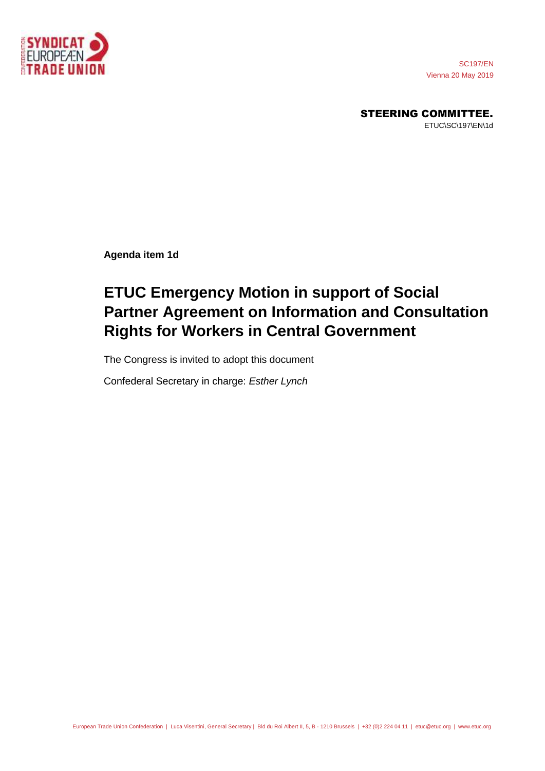

SC197/EN Vienna 20 May 2019

STEERING COMMITTEE.

ETUC\SC\197\EN\1d

**Agenda item 1d**

## **ETUC Emergency Motion in support of Social Partner Agreement on Information and Consultation Rights for Workers in Central Government**

The Congress is invited to adopt this document

Confederal Secretary in charge: *Esther Lynch*